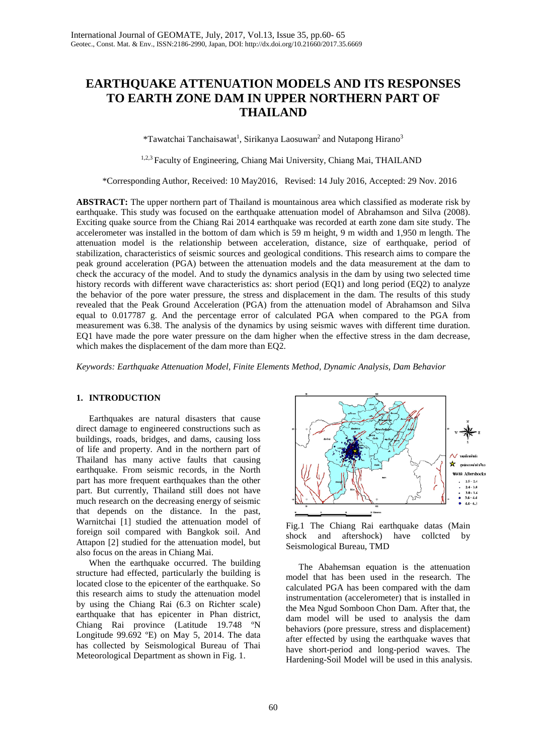# **EARTHQUAKE ATTENUATION MODELS AND ITS RESPONSES TO EARTH ZONE DAM IN UPPER NORTHERN PART OF THAILAND**

\*Tawatchai Tanchaisawat<sup>1</sup>, Sirikanya Laosuwan<sup>2</sup> and Nutapong Hirano<sup>3</sup>

1,2,3 Faculty of Engineering, Chiang Mai University, Chiang Mai, THAILAND

\*Corresponding Author, Received: 10 May2016, Revised: 14 July 2016, Accepted: 29 Nov. 2016

**ABSTRACT:** The upper northern part of Thailand is mountainous area which classified as moderate risk by earthquake. This study was focused on the earthquake attenuation model of Abrahamson and Silva (2008). Exciting quake source from the Chiang Rai 2014 earthquake was recorded at earth zone dam site study. The accelerometer was installed in the bottom of dam which is 59 m height, 9 m width and 1,950 m length. The attenuation model is the relationship between acceleration, distance, size of earthquake, period of stabilization, characteristics of seismic sources and geological conditions. This research aims to compare the peak ground acceleration (PGA) between the attenuation models and the data measurement at the dam to check the accuracy of the model. And to study the dynamics analysis in the dam by using two selected time history records with different wave characteristics as: short period (EQ1) and long period (EQ2) to analyze the behavior of the pore water pressure, the stress and displacement in the dam. The results of this study revealed that the Peak Ground Acceleration (PGA) from the attenuation model of Abrahamson and Silva equal to 0.017787 g. And the percentage error of calculated PGA when compared to the PGA from measurement was 6.38. The analysis of the dynamics by using seismic waves with different time duration. EQ1 have made the pore water pressure on the dam higher when the effective stress in the dam decrease, which makes the displacement of the dam more than EQ2.

*Keywords: Earthquake Attenuation Model, Finite Elements Method, Dynamic Analysis, Dam Behavior*

# **1. INTRODUCTION**

Earthquakes are natural disasters that cause direct damage to engineered constructions such as buildings, roads, bridges, and dams, causing loss of life and property. And in the northern part of Thailand has many active faults that causing earthquake. From seismic records, in the North part has more frequent earthquakes than the other part. But currently, Thailand still does not have much research on the decreasing energy of seismic that depends on the distance. In the past, Warnitchai [1] studied the attenuation model of foreign soil compared with Bangkok soil. And Attapon [2] studied for the attenuation model, but also focus on the areas in Chiang Mai.

When the earthquake occurred. The building structure had effected, particularly the building is located close to the epicenter of the earthquake. So this research aims to study the attenuation model by using the Chiang Rai (6.3 on Richter scale) earthquake that has epicenter in Phan district, Chiang Rai province (Latitude 19.748 ºN Longitude 99.692 ºE) on May 5, 2014. The data has collected by Seismological Bureau of Thai Meteorological Department as shown in Fig. 1.





The Abahemsan equation is the attenuation model that has been used in the research. The calculated PGA has been compared with the dam instrumentation (accelerometer) that is installed in the Mea Ngud Somboon Chon Dam. After that, the dam model will be used to analysis the dam behaviors (pore pressure, stress and displacement) after effected by using the earthquake waves that have short-period and long-period waves. The Hardening-Soil Model will be used in this analysis.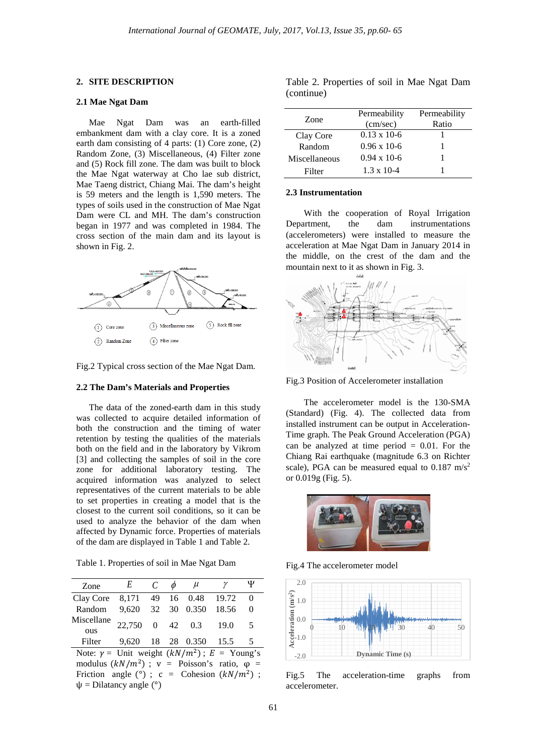## **2. SITE DESCRIPTION**

## **2.1 Mae Ngat Dam**

Mae Ngat Dam was an earth-filled embankment dam with a clay core. It is a zoned earth dam consisting of 4 parts: (1) Core zone, (2) Random Zone, (3) Miscellaneous, (4) Filter zone and (5) Rock fill zone. The dam was built to block the Mae Ngat waterway at Cho lae sub district, Mae Taeng district, Chiang Mai. The dam's height is 59 meters and the length is 1,590 meters. The types of soils used in the construction of Mae Ngat Dam were CL and MH. The dam's construction began in 1977 and was completed in 1984. The cross section of the main dam and its layout is shown in Fig. 2.



Fig.2 Typical cross section of the Mae Ngat Dam.

#### **2.2 The Dam's Materials and Properties**

The data of the zoned-earth dam in this study was collected to acquire detailed information of both the construction and the timing of water retention by testing the qualities of the materials both on the field and in the laboratory by Vikrom [3] and collecting the samples of soil in the core zone for additional laboratory testing. The acquired information was analyzed to select representatives of the current materials to be able to set properties in creating a model that is the closest to the current soil conditions, so it can be used to analyze the behavior of the dam when affected by Dynamic force. Properties of materials of the dam are displayed in Table 1 and Table 2.

Table 1. Properties of soil in Mae Ngat Dam

| Zone                                                  | E        | $\mathcal{C}$ | Ø | $\mu$                  | γ     | Ψ        |
|-------------------------------------------------------|----------|---------------|---|------------------------|-------|----------|
| Clay Core                                             | 8,171 49 |               |   | 16 0.48                | 19.72 | $\Omega$ |
| Random                                                | 9.620    | 32            |   | 30 0.350               | 18.56 | $\Omega$ |
| Miscellane<br><b>OUS</b>                              | 22,750   |               |   | $0 \t 42 \t 0.3$       | 19.0  | -5       |
| Filter                                                |          |               |   | 9,620 18 28 0.350 15.5 |       | -5       |
| Note: $y =$ Unit weight $(kN/m^2)$ ; $E =$ Young's    |          |               |   |                        |       |          |
| modulus $(kN/m^2)$ ; v = Poisson's ratio, $\varphi$ = |          |               |   |                        |       |          |

Friction angle (°) ;  $c =$  Cohesion  $(kN/m^2)$  ;  $\psi$  = Dilatancy angle (°)

Table 2. Properties of soil in Mae Ngat Dam (continue)

| Zone          | Permeability          | Permeability |
|---------------|-----------------------|--------------|
|               | (cm/sec)              | Ratio        |
| Clay Core     | $0.13 \times 10^{-6}$ |              |
| Random        | $0.96 \times 10^{-6}$ |              |
| Miscellaneous | $0.94 \times 10^{-6}$ |              |
| Filter        | $1.3 \times 10 - 4$   |              |

#### **2.3 Instrumentation**

With the cooperation of Royal Irrigation Department, the dam instrumentations (accelerometers) were installed to measure the acceleration at Mae Ngat Dam in January 2014 in the middle, on the crest of the dam and the mountain next to it as shown in Fig. 3.



Fig.3 Position of Accelerometer installation

The accelerometer model is the 130-SMA (Standard) (Fig. 4). The collected data from installed instrument can be output in Acceleration-Time graph. The Peak Ground Acceleration (PGA) can be analyzed at time period  $= 0.01$ . For the Chiang Rai earthquake (magnitude 6.3 on Richter scale), PGA can be measured equal to  $0.187 \text{ m/s}^2$ or 0.019g (Fig. 5).



Fig.4 The accelerometer model



Fig.5 The acceleration-time graphs from accelerometer.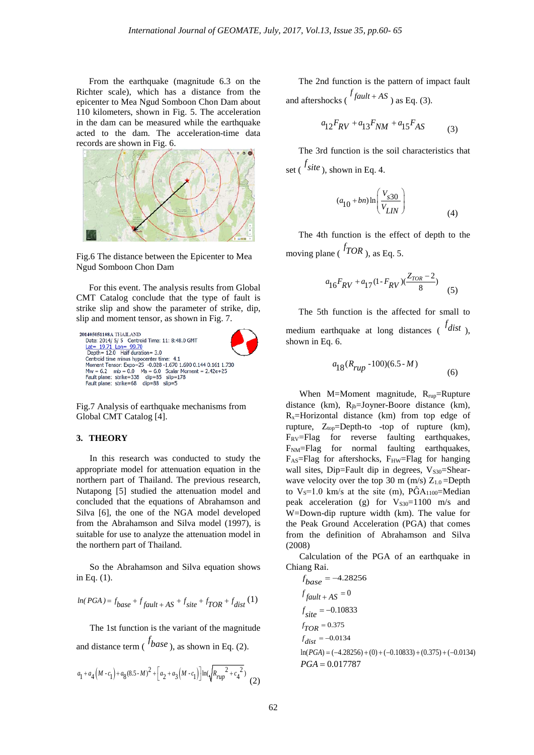From the earthquake (magnitude 6.3 on the Richter scale), which has a distance from the epicenter to Mea Ngud Somboon Chon Dam about 110 kilometers, shown in Fig. 5. The acceleration in the dam can be measured while the earthquake acted to the dam. The acceleration-time data records are shown in Fig. 6.



Fig.6 The distance between the Epicenter to Mea Ngud Somboon Chon Dam

For this event. The analysis results from Global CMT Catalog conclude that the type of fault is strike slip and show the parameter of strike, dip, slip and moment tensor, as shown in Fig. 7.



Fig.7 Analysis of earthquake mechanisms from Global CMT Catalog [4].

# **3. THEORY**

In this research was conducted to study the appropriate model for attenuation equation in the northern part of Thailand. The previous research, Nutapong [5] studied the attenuation model and concluded that the equations of Abrahamson and Silva [6], the one of the NGA model developed from the Abrahamson and Silva model (1997), is suitable for use to analyze the attenuation model in the northern part of Thailand.

So the Abrahamson and Silva equation shows in Eq. (1).

$$
\ln(PGA) = f_{base} + f_{fault + AS} + f_{site} + f_{TOR} + f_{dist}(1)
$$

The 1st function is the variant of the magnitude and distance term ( *f base* ), as shown in Eq. (2).

$$
a_1 + a_4\big(M - c_1\big) + a_8(8.5 \cdot M)^2 + \Big[a_2 + a_3\big(M - c_1\big)\Big] \text{ln}(\sqrt{R_{rup}^2 + c_4^{\;2}}) \tag{2}
$$

The 2nd function is the pattern of impact fault and aftershocks ( $\int f \, du \, dt + AS$ ) as Eq. (3).

$$
a_{12}F_{RV} + a_{13}F_{NM} + a_{15}F_{AS} \tag{3}
$$

The 3rd function is the soil characteristics that set ( $\frac{f_{\text{site}}}{f}$ ), shown in Eq. 4.

$$
(a_{10} + bn) \ln \left( \frac{V_{s30}}{V_{LIN}} \right) \tag{4}
$$

The 4th function is the effect of depth to the moving plane ( $^{f}$ *TOR*), as Eq. 5.

$$
a_{16}F_{RV} + a_{17}(1 - F_{RV})(\frac{Z_{TOR} - 2}{8}) \tag{5}
$$

The 5th function is the affected for small to medium earthquake at long distances ( *<sup>f</sup> dist* ), shown in Eq. 6.

$$
a_{18}(R_{rup} - 100)(6.5 - M) \tag{6}
$$

When M=Moment magnitude,  $R_{rup}$ =Rupture distance (km),  $R_{jb}$ =Joyner-Boore distance (km), Rx=Horizontal distance (km) from top edge of rupture,  $Z_{top}$ =Depth-to -top of rupture (km), F<sub>RV</sub>=Flag for reverse faulting earthquakes, F<sub>NM</sub>=Flag for normal faulting earthquakes,  $F_{AS}$ =Flag for aftershocks,  $F_{HW}$ =Flag for hanging wall sites, Dip=Fault dip in degrees,  $V_{S30}$ =Shearwave velocity over the top 30 m (m/s)  $Z_{1.0}$ =Depth to  $V_S=1.0$  km/s at the site (m),  $\angle PGA_{1100}$ =Median peak acceleration (g) for  $V_{S30}=1100$  m/s and W=Down-dip rupture width (km). The value for the Peak Ground Acceleration (PGA) that comes from the definition of Abrahamson and Silva (2008)

Calculation of the PGA of an earthquake in Chiang Rai.

$$
f_{base} = -4.28256
$$
  
\n
$$
f_{fault} + AS = 0
$$
  
\n
$$
f_{site} = -0.10833
$$
  
\n
$$
f_{TOR} = 0.375
$$
  
\n
$$
f_{dist} = -0.0134
$$
  
\n
$$
ln(PGA) = (-4.28256) + (0) + (-0.10833) + (0.375) + (-0.0134)
$$
  
\n
$$
PGA = 0.017787
$$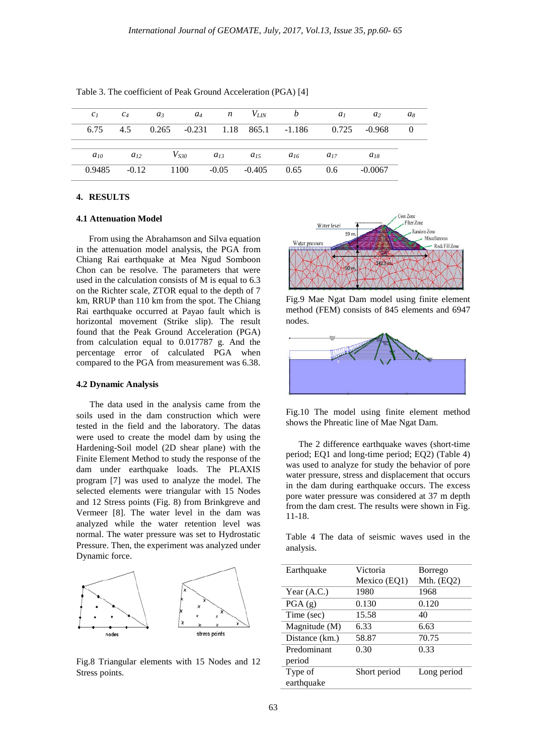| c <sub>1</sub> | $c_4$    | $a_3$ | $a_4$     |                | $n$ $V_{LN}$ | b                                                    | a <sub>1</sub> | a <sub>2</sub> | $a_8$ |
|----------------|----------|-------|-----------|----------------|--------------|------------------------------------------------------|----------------|----------------|-------|
|                |          |       |           |                |              | 6.75 4.5 0.265 -0.231 1.18 865.1 -1.186 0.725 -0.968 |                |                |       |
|                |          |       |           |                |              |                                                      |                |                |       |
| $a_{10}$       | $a_{12}$ |       | $V_{S30}$ | $a_{13}$       | $a_{15}$     | $a_{16}$                                             | $a_{17}$       | $a_{18}$       |       |
| 0.9485         | $-0.12$  |       | 1100      | $-0.05 -0.405$ |              | 0.65                                                 | 0.6            | $-0.0067$      |       |

Table 3. The coefficient of Peak Ground Acceleration (PGA) [4]

#### **4. RESULTS**

#### **4.1 Attenuation Model**

From using the Abrahamson and Silva equation in the attenuation model analysis, the PGA from Chiang Rai earthquake at Mea Ngud Somboon Chon can be resolve. The parameters that were used in the calculation consists of M is equal to 6.3 on the Richter scale, ZTOR equal to the depth of 7 km, RRUP than 110 km from the spot. The Chiang Rai earthquake occurred at Payao fault which is horizontal movement (Strike slip). The result found that the Peak Ground Acceleration (PGA) from calculation equal to 0.017787 g. And the percentage error of calculated PGA when compared to the PGA from measurement was 6.38.

#### **4.2 Dynamic Analysis**

The data used in the analysis came from the soils used in the dam construction which were tested in the field and the laboratory. The datas were used to create the model dam by using the Hardening-Soil model (2D shear plane) with the Finite Element Method to study the response of the dam under earthquake loads. The PLAXIS program [7] was used to analyze the model. The selected elements were triangular with 15 Nodes and 12 Stress points (Fig. 8) from Brinkgreve and Vermeer [8]. The water level in the dam was analyzed while the water retention level was normal. The water pressure was set to Hydrostatic Pressure. Then, the experiment was analyzed under Dynamic force.



Fig.8 Triangular elements with 15 Nodes and 12 Stress points.



Fig.9 Mae Ngat Dam model using finite element method (FEM) consists of 845 elements and 6947 nodes.



Fig.10 The model using finite element method shows the Phreatic line of Mae Ngat Dam.

The 2 difference earthquake waves (short-time period; EQ1 and long-time period; EQ2) (Table 4) was used to analyze for study the behavior of pore water pressure, stress and displacement that occurs in the dam during earthquake occurs. The excess pore water pressure was considered at 37 m depth from the dam crest. The results were shown in Fig. 11-18.

Table 4 The data of seismic waves used in the analysis.

| Earthquake     | Victoria     | <b>Borrego</b> |  |
|----------------|--------------|----------------|--|
|                | Mexico (EQ1) | Mth. $(EQ2)$   |  |
| Year $(A.C.)$  | 1980         | 1968           |  |
| PGA(g)         | 0.130        | 0.120          |  |
| Time (sec)     | 15.58        | 40             |  |
| Magnitude (M)  | 6.33         | 6.63           |  |
| Distance (km.) | 58.87        | 70.75          |  |
| Predominant    | 0.30         | 0.33           |  |
| period         |              |                |  |
| Type of        | Short period | Long period    |  |
| earthquake     |              |                |  |
|                |              |                |  |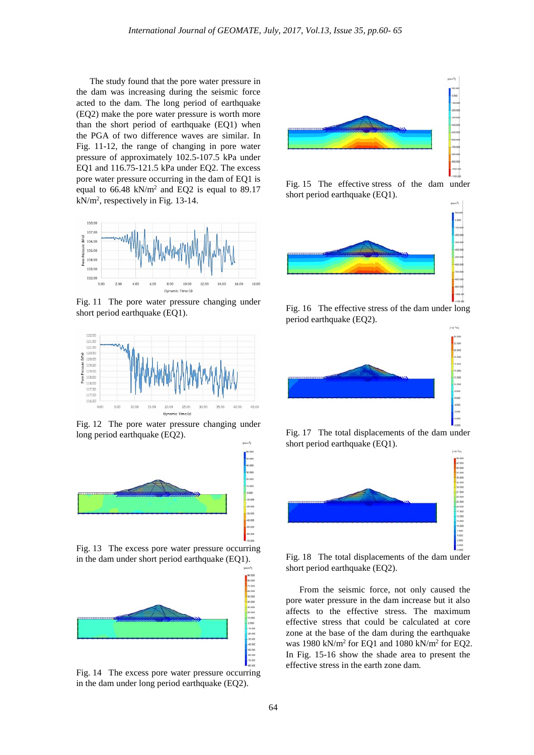The study found that the pore water pressure in the dam was increasing during the seismic force acted to the dam. The long period of earthquake (EQ2) make the pore water pressure is worth more than the short period of earthquake (EQ1) when the PGA of two difference waves are similar. In Fig. 11-12, the range of changing in pore water pressure of approximately 102.5-107.5 kPa under EQ1 and 116.75-121.5 kPa under EQ2. The excess pore water pressure occurring in the dam of EQ1 is equal to 66.48 kN/m2 and EQ2 is equal to 89.17 kN/m2 , respectively in Fig. 13-14.



Fig. 11 The pore water pressure changing under short period earthquake (EQ1).



Fig. 12 The pore water pressure changing under long period earthquake (EQ2).



Fig. 13 The excess pore water pressure occurring in the dam under short period earthquake (EQ1).



Fig. 14 The excess pore water pressure occurring in the dam under long period earthquake (EQ2).



Fig. 15 The effective stress of the dam under short period earthquake (EQ1).



Fig. 16 The effective stress of the dam under long period earthquake (EQ2).



Fig. 17 The total displacements of the dam under short period earthquake (EQ1).



Fig. 18 The total displacements of the dam under short period earthquake (EQ2).

From the seismic force, not only caused the pore water pressure in the dam increase but it also affects to the effective stress. The maximum effective stress that could be calculated at core zone at the base of the dam during the earthquake was 1980 kN/m<sup>2</sup> for EQ1 and 1080 kN/m<sup>2</sup> for EQ2. In Fig. 15-16 show the shade area to present the effective stress in the earth zone dam.